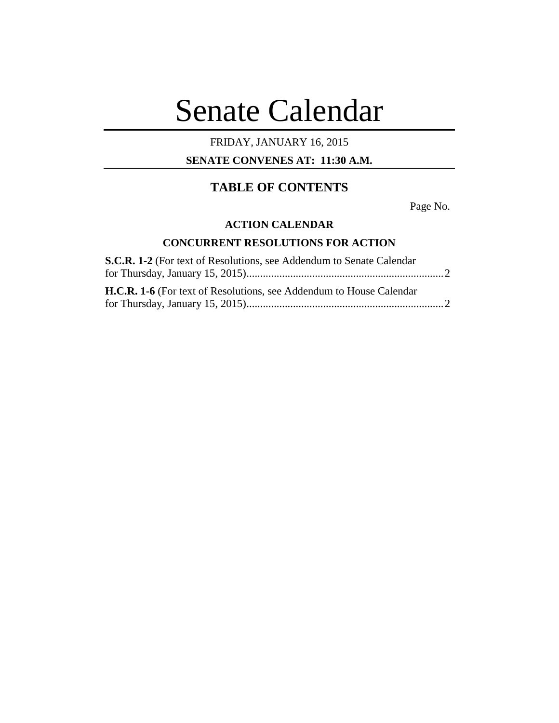# Senate Calendar

## FRIDAY, JANUARY 16, 2015

## **SENATE CONVENES AT: 11:30 A.M.**

# **TABLE OF CONTENTS**

Page No.

## **ACTION CALENDAR**

## **CONCURRENT RESOLUTIONS FOR ACTION**

| <b>S.C.R. 1-2</b> (For text of Resolutions, see Addendum to Senate Calendar |  |
|-----------------------------------------------------------------------------|--|
|                                                                             |  |
|                                                                             |  |
| <b>H.C.R. 1-6</b> (For text of Resolutions, see Addendum to House Calendar  |  |
|                                                                             |  |